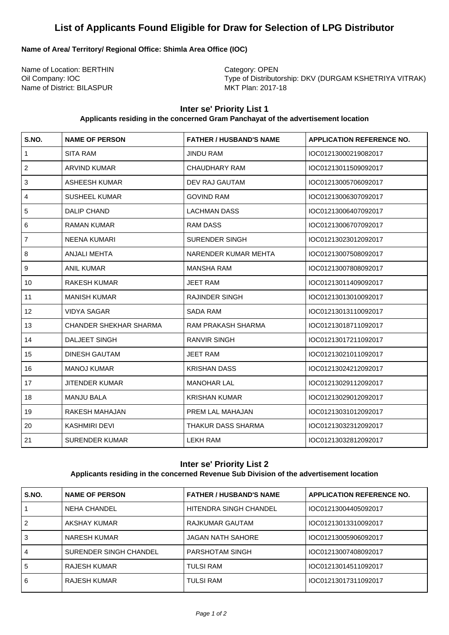# **List of Applicants Found Eligible for Draw for Selection of LPG Distributor**

#### **Name of Area/ Territory/ Regional Office: Shimla Area Office (IOC)**

Name of Location: BERTHIN Category: OPEN Name of District: BILASPUR

Oil Company: IOC <br>
Type of Distributorship: DKV (DURGAM KSHETRIYA VITRAK)<br>
MKT Plan: 2017-18

## **Inter se' Priority List 1**

#### **Applicants residing in the concerned Gram Panchayat of the advertisement location**

| S.NO.          | <b>NAME OF PERSON</b>         | <b>FATHER / HUSBAND'S NAME</b> | <b>APPLICATION REFERENCE NO.</b> |
|----------------|-------------------------------|--------------------------------|----------------------------------|
| $\mathbf{1}$   | <b>SITA RAM</b>               | <b>JINDU RAM</b>               | IOC01213000219082017             |
| 2              | <b>ARVIND KUMAR</b>           | CHAUDHARY RAM                  | IOC01213011509092017             |
| 3              | <b>ASHEESH KUMAR</b>          | DEV RAJ GAUTAM                 | IOC01213005706092017             |
| 4              | <b>SUSHEEL KUMAR</b>          | <b>GOVIND RAM</b>              | IOC01213006307092017             |
| 5              | <b>DALIP CHAND</b>            | <b>LACHMAN DASS</b>            | IOC01213006407092017             |
| 6              | <b>RAMAN KUMAR</b>            | <b>RAM DASS</b>                | IOC01213006707092017             |
| $\overline{7}$ | <b>NEENA KUMARI</b>           | <b>SURENDER SINGH</b>          | IOC01213023012092017             |
| $\,8\,$        | ANJALI MEHTA                  | NARENDER KUMAR MEHTA           | IOC01213007508092017             |
| 9              | <b>ANIL KUMAR</b>             | <b>MANSHA RAM</b>              | IOC01213007808092017             |
| 10             | <b>RAKESH KUMAR</b>           | <b>JEET RAM</b>                | IOC01213011409092017             |
| 11             | <b>MANISH KUMAR</b>           | <b>RAJINDER SINGH</b>          | IOC01213013010092017             |
| 12             | <b>VIDYA SAGAR</b>            | <b>SADA RAM</b>                | IOC01213013110092017             |
| 13             | <b>CHANDER SHEKHAR SHARMA</b> | <b>RAM PRAKASH SHARMA</b>      | IOC01213018711092017             |
| 14             | <b>DALJEET SINGH</b>          | <b>RANVIR SINGH</b>            | IOC01213017211092017             |
| 15             | <b>DINESH GAUTAM</b>          | <b>JEET RAM</b>                | IOC01213021011092017             |
| 16             | <b>MANOJ KUMAR</b>            | <b>KRISHAN DASS</b>            | IOC01213024212092017             |
| 17             | <b>JITENDER KUMAR</b>         | <b>MANOHAR LAL</b>             | IOC01213029112092017             |
| 18             | <b>MANJU BALA</b>             | <b>KRISHAN KUMAR</b>           | IOC01213029012092017             |
| 19             | RAKESH MAHAJAN                | PREM LAL MAHAJAN               | IOC01213031012092017             |
| 20             | <b>KASHMIRI DEVI</b>          | THAKUR DASS SHARMA             | IOC01213032312092017             |
| 21             | <b>SURENDER KUMAR</b>         | <b>LEKH RAM</b>                | IOC01213032812092017             |

### **Inter se' Priority List 2**

#### **Applicants residing in the concerned Revenue Sub Division of the advertisement location**

| S.NO. | <b>NAME OF PERSON</b>  | <b>FATHER / HUSBAND'S NAME</b> | <b>APPLICATION REFERENCE NO.</b> |
|-------|------------------------|--------------------------------|----------------------------------|
|       | NEHA CHANDEL           | HITENDRA SINGH CHANDEL         | IOC01213004405092017             |
| 2     | AKSHAY KUMAR           | <b>RAJKUMAR GAUTAM</b>         | IOC01213013310092017             |
| 3     | <b>NARESH KUMAR</b>    | JAGAN NATH SAHORE              | IOC01213005906092017             |
| 4     | SURENDER SINGH CHANDEL | PARSHOTAM SINGH                | IOC01213007408092017             |
| 5     | RAJESH KUMAR           | <b>TULSI RAM</b>               | IOC01213014511092017             |
| 6     | RAJESH KUMAR           | <b>TULSI RAM</b>               | IOC01213017311092017             |
|       |                        |                                |                                  |